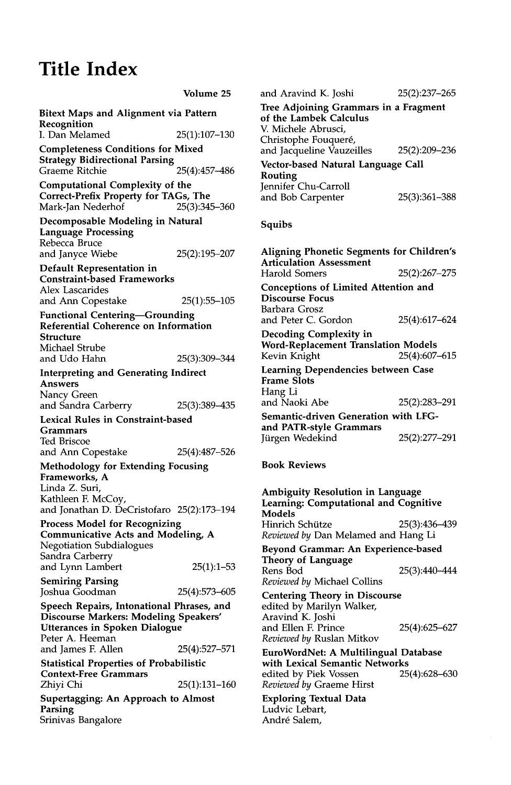## **Title Index**

|                                                                                                                                               | Volume 25       |  |
|-----------------------------------------------------------------------------------------------------------------------------------------------|-----------------|--|
| Bitext Maps and Alignment via Pattern<br>Recognition                                                                                          |                 |  |
| I. Dan Melamed                                                                                                                                | 25(1):107–130   |  |
| <b>Completeness Conditions for Mixed</b><br><b>Strategy Bidirectional Parsing</b><br>Graeme Ritchie                                           | 25(4):457-486   |  |
| <b>Computational Complexity of the</b><br>Correct-Prefix Property for TAGs, The<br>Mark-Jan Nederhof                                          | 25(3):345-360   |  |
| Decomposable Modeling in Natural<br><b>Language Processing</b><br>Rebecca Bruce                                                               |                 |  |
| and Janyce Wiebe                                                                                                                              | 25(2):195–207   |  |
| Default Representation in<br><b>Constraint-based Frameworks</b><br><b>Alex Lascarides</b>                                                     |                 |  |
| and Ann Copestake                                                                                                                             | 25(1):55-105    |  |
| <b>Functional Centering-Grounding</b><br>Referential Coherence on Information<br>Structure<br>Michael Strube<br>and Udo Hahn                  | 25(3):309-344   |  |
| <b>Interpreting and Generating Indirect</b>                                                                                                   |                 |  |
| Answers                                                                                                                                       |                 |  |
| Nancy Green<br>and Sandra Carberry                                                                                                            | 25(3):389-435   |  |
| <b>Lexical Rules in Constraint-based</b><br>Grammars<br>Ted Briscoe                                                                           |                 |  |
| and Ann Copestake                                                                                                                             | 25(4):487-526   |  |
| Methodology for Extending Focusing<br>Frameworks, A<br>Linda Z. Suri,<br>Kathleen F. McCoy,<br>and Jonathan D. DeCristofaro 25(2):173-194     |                 |  |
| <b>Process Model for Recognizing</b><br><b>Communicative Acts and Modeling, A</b><br><b>Negotiation Subdialogues</b><br>Sandra Carberry       |                 |  |
| and Lynn Lambert                                                                                                                              | $25(1):1-53$    |  |
| <b>Semiring Parsing</b><br>Joshua Goodman                                                                                                     | 25(4):573–605   |  |
| Speech Repairs, Intonational Phrases, and<br>Discourse Markers: Modeling Speakers'<br><b>Utterances in Spoken Dialogue</b><br>Peter A. Heeman |                 |  |
| and James F. Allen                                                                                                                            | 25(4):527-571   |  |
| <b>Statistical Properties of Probabilistic</b><br><b>Context-Free Grammars</b>                                                                |                 |  |
| Zhiyi Chi                                                                                                                                     | $25(1):131-160$ |  |
| <b>Supertagging: An Approach to Almost</b><br>Parsing<br>Srinivas Bangalore                                                                   |                 |  |

| and Aravind K. Joshi                              | 25(2):237-265 |
|---------------------------------------------------|---------------|
| Tree Adjoining Grammars in a Fragment             |               |
| of the Lambek Calculus                            |               |
| V. Michele Abrusci.                               |               |
| Christophe Fouqueré,<br>and Jacqueline Vauzeilles | 25(2):209-236 |
| Vector-based Natural Language Call                |               |
| Routing                                           |               |
| Jennifer Chu-Carroll                              |               |
| and Bob Carpenter                                 | 25(3):361-388 |
|                                                   |               |
|                                                   |               |

## Squibs

**Aligning Phonetic Segments for Children's**  Articulation Assessment Harold Somers 25(2):267-275 Conceptions of Limited Attention and Discourse Focus Barbara Grosz and Peter C. Gordon 25(4):617-624 Decoding Complexity in Word-Replacement Translation Models Kevin Knight 25(4):607-615 Learning Dependencies between Case Frame Slots Hang Li and Naoki Abe 25(2):283-291 Semantic-driven Generation with LFGand PATR-style Grammars Jürgen Wedekind 25(2):277-291

## **Book Reviews**

**Ambiguity Resolution in Language Learning: Computational and Cognitive**  Models Hinrich Schütze 25(3):436-439 *Reviewed by* Dan Melamed and Hang Li Beyond Grammar: An Experience-based Theory of Language Rens Bod 25(3):440-444 *Reviewed by* Michael Collins Centering Theory in Discourse edited by Marilyn Walker, Aravind K. Joshi and Ellen E Prince 25(4):625-627

*Reviewed by* Ruslan Mitkov **EuroWordNet: A** Multilingual Database with Lexical Semantic Networks<br>edited by Piek Vossen 25(4):628-630 edited by Piek Vossen *Reviewed by* Graeme Hirst

Exploring Textual Data Ludvic Lebart, Andr6 Salem,